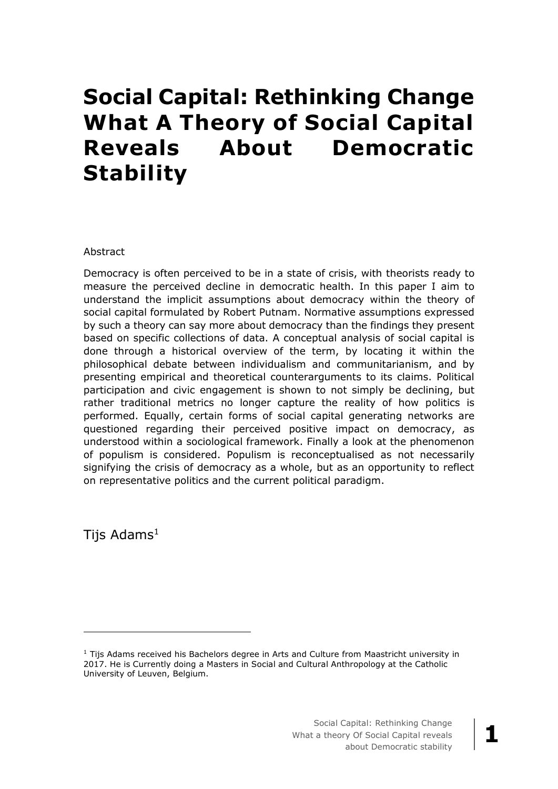# **Social Capital: Rethinking Change What A Theory of Social Capital Reveals About Democratic Stability**

#### Abstract

Democracy is often perceived to be in a state of crisis, with theorists ready to measure the perceived decline in democratic health. In this paper I aim to understand the implicit assumptions about democracy within the theory of social capital formulated by Robert Putnam. Normative assumptions expressed by such a theory can say more about democracy than the findings they present based on specific collections of data. A conceptual analysis of social capital is done through a historical overview of the term, by locating it within the philosophical debate between individualism and communitarianism, and by presenting empirical and theoretical counterarguments to its claims. Political participation and civic engagement is shown to not simply be declining, but rather traditional metrics no longer capture the reality of how politics is performed. Equally, certain forms of social capital generating networks are questioned regarding their perceived positive impact on democracy, as understood within a sociological framework. Finally a look at the phenomenon of populism is considered. Populism is reconceptualised as not necessarily signifying the crisis of democracy as a whole, but as an opportunity to reflect on representative politics and the current political paradigm.

Tijs  $Adams<sup>1</sup>$ 

 $\overline{a}$ 

 $1$  Tijs Adams received his Bachelors degree in Arts and Culture from Maastricht university in 2017. He is Currently doing a Masters in Social and Cultural Anthropology at the Catholic University of Leuven, Belgium.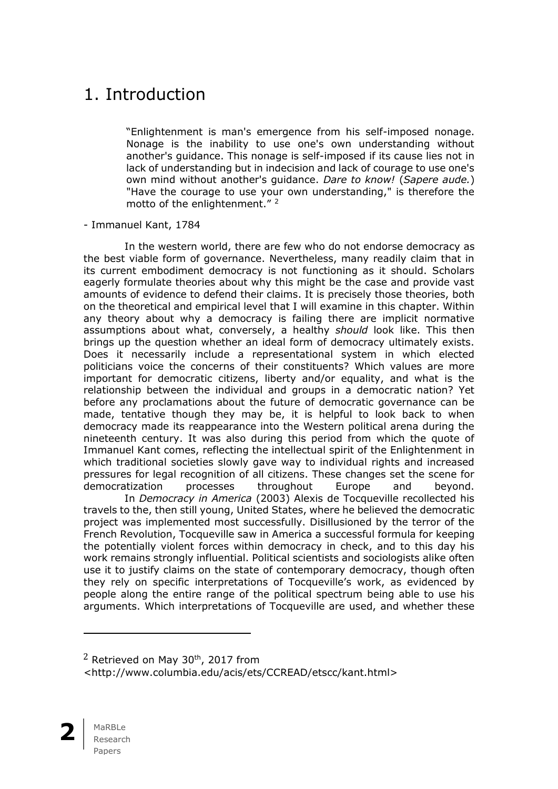### 1. Introduction

"Enlightenment is man's emergence from his self-imposed nonage. Nonage is the inability to use one's own understanding without another's guidance. This nonage is self-imposed if its cause lies not in lack of understanding but in indecision and lack of courage to use one's own mind without another's guidance. *Dare to know!* (*Sapere aude.*) "Have the courage to use your own understanding," is therefore the motto of the enlightenment."<sup>2</sup>

#### - Immanuel Kant, 1784

In the western world, there are few who do not endorse democracy as the best viable form of governance. Nevertheless, many readily claim that in its current embodiment democracy is not functioning as it should. Scholars eagerly formulate theories about why this might be the case and provide vast amounts of evidence to defend their claims. It is precisely those theories, both on the theoretical and empirical level that I will examine in this chapter. Within any theory about why a democracy is failing there are implicit normative assumptions about what, conversely, a healthy *should* look like. This then brings up the question whether an ideal form of democracy ultimately exists. Does it necessarily include a representational system in which elected politicians voice the concerns of their constituents? Which values are more important for democratic citizens, liberty and/or equality, and what is the relationship between the individual and groups in a democratic nation? Yet before any proclamations about the future of democratic governance can be made, tentative though they may be, it is helpful to look back to when democracy made its reappearance into the Western political arena during the nineteenth century. It was also during this period from which the quote of Immanuel Kant comes, reflecting the intellectual spirit of the Enlightenment in which traditional societies slowly gave way to individual rights and increased pressures for legal recognition of all citizens. These changes set the scene for democratization processes throughout Europe and beyond.

In *Democracy in America* (2003) Alexis de Tocqueville recollected his travels to the, then still young, United States, where he believed the democratic project was implemented most successfully. Disillusioned by the terror of the French Revolution, Tocqueville saw in America a successful formula for keeping the potentially violent forces within democracy in check, and to this day his work remains strongly influential. Political scientists and sociologists alike often use it to justify claims on the state of contemporary democracy, though often they rely on specific interpretations of Tocqueville's work, as evidenced by people along the entire range of the political spectrum being able to use his arguments. Which interpretations of Tocqueville are used, and whether these

<sup>&</sup>lt;http://www.columbia.edu/acis/ets/CCREAD/etscc/kant.html>



 $\overline{a}$ 

 $2$  Retrieved on May 30<sup>th</sup>, 2017 from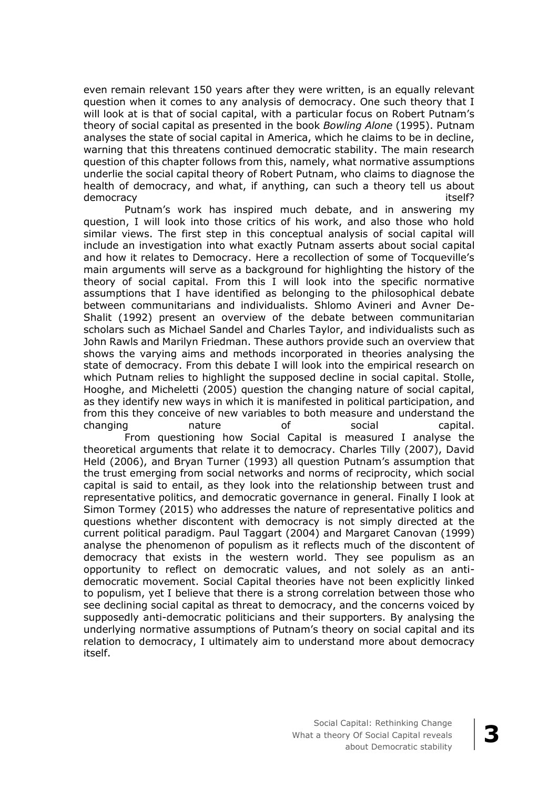even remain relevant 150 years after they were written, is an equally relevant question when it comes to any analysis of democracy. One such theory that I will look at is that of social capital, with a particular focus on Robert Putnam's theory of social capital as presented in the book *Bowling Alone* (1995). Putnam analyses the state of social capital in America, which he claims to be in decline, warning that this threatens continued democratic stability. The main research question of this chapter follows from this, namely, what normative assumptions underlie the social capital theory of Robert Putnam, who claims to diagnose the health of democracy, and what, if anything, can such a theory tell us about democracy itself? when the control of the control of the control of the control of the control of the control o

Putnam's work has inspired much debate, and in answering my question, I will look into those critics of his work, and also those who hold similar views. The first step in this conceptual analysis of social capital will include an investigation into what exactly Putnam asserts about social capital and how it relates to Democracy. Here a recollection of some of Tocqueville's main arguments will serve as a background for highlighting the history of the theory of social capital. From this I will look into the specific normative assumptions that I have identified as belonging to the philosophical debate between communitarians and individualists. Shlomo Avineri and Avner De-Shalit (1992) present an overview of the debate between communitarian scholars such as Michael Sandel and Charles Taylor, and individualists such as John Rawls and Marilyn Friedman. These authors provide such an overview that shows the varying aims and methods incorporated in theories analysing the state of democracy. From this debate I will look into the empirical research on which Putnam relies to highlight the supposed decline in social capital. Stolle, Hooghe, and Micheletti (2005) question the changing nature of social capital, as they identify new ways in which it is manifested in political participation, and from this they conceive of new variables to both measure and understand the changing nature of social capital.

From questioning how Social Capital is measured I analyse the theoretical arguments that relate it to democracy. Charles Tilly (2007), David Held (2006), and Bryan Turner (1993) all question Putnam's assumption that the trust emerging from social networks and norms of reciprocity, which social capital is said to entail, as they look into the relationship between trust and representative politics, and democratic governance in general. Finally I look at Simon Tormey (2015) who addresses the nature of representative politics and questions whether discontent with democracy is not simply directed at the current political paradigm. Paul Taggart (2004) and Margaret Canovan (1999) analyse the phenomenon of populism as it reflects much of the discontent of democracy that exists in the western world. They see populism as an opportunity to reflect on democratic values, and not solely as an antidemocratic movement. Social Capital theories have not been explicitly linked to populism, yet I believe that there is a strong correlation between those who see declining social capital as threat to democracy, and the concerns voiced by supposedly anti-democratic politicians and their supporters. By analysing the underlying normative assumptions of Putnam's theory on social capital and its relation to democracy, I ultimately aim to understand more about democracy itself.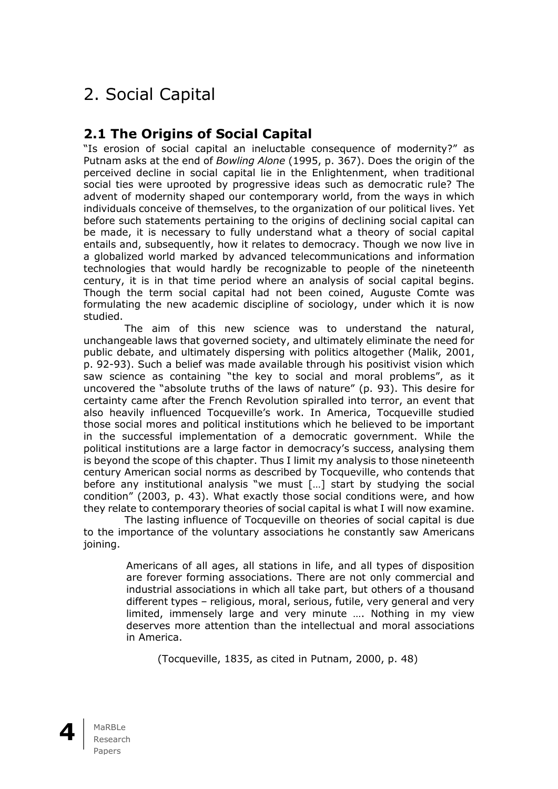# 2. Social Capital

### **2.1 The Origins of Social Capital**

"Is erosion of social capital an ineluctable consequence of modernity?" as Putnam asks at the end of *Bowling Alone* (1995, p. 367). Does the origin of the perceived decline in social capital lie in the Enlightenment, when traditional social ties were uprooted by progressive ideas such as democratic rule? The advent of modernity shaped our contemporary world, from the ways in which individuals conceive of themselves, to the organization of our political lives. Yet before such statements pertaining to the origins of declining social capital can be made, it is necessary to fully understand what a theory of social capital entails and, subsequently, how it relates to democracy. Though we now live in a globalized world marked by advanced telecommunications and information technologies that would hardly be recognizable to people of the nineteenth century, it is in that time period where an analysis of social capital begins. Though the term social capital had not been coined, Auguste Comte was formulating the new academic discipline of sociology, under which it is now studied.

The aim of this new science was to understand the natural, unchangeable laws that governed society, and ultimately eliminate the need for public debate, and ultimately dispersing with politics altogether (Malik, 2001, p. 92-93). Such a belief was made available through his positivist vision which saw science as containing "the key to social and moral problems", as it uncovered the "absolute truths of the laws of nature" (p. 93). This desire for certainty came after the French Revolution spiralled into terror, an event that also heavily influenced Tocqueville's work. In America, Tocqueville studied those social mores and political institutions which he believed to be important in the successful implementation of a democratic government. While the political institutions are a large factor in democracy's success, analysing them is beyond the scope of this chapter. Thus I limit my analysis to those nineteenth century American social norms as described by Tocqueville, who contends that before any institutional analysis "we must […] start by studying the social condition" (2003, p. 43). What exactly those social conditions were, and how they relate to contemporary theories of social capital is what I will now examine.

The lasting influence of Tocqueville on theories of social capital is due to the importance of the voluntary associations he constantly saw Americans joining.

> Americans of all ages, all stations in life, and all types of disposition are forever forming associations. There are not only commercial and industrial associations in which all take part, but others of a thousand different types – religious, moral, serious, futile, very general and very limited, immensely large and very minute …. Nothing in my view deserves more attention than the intellectual and moral associations in America.

(Tocqueville, 1835, as cited in Putnam, 2000, p. 48)

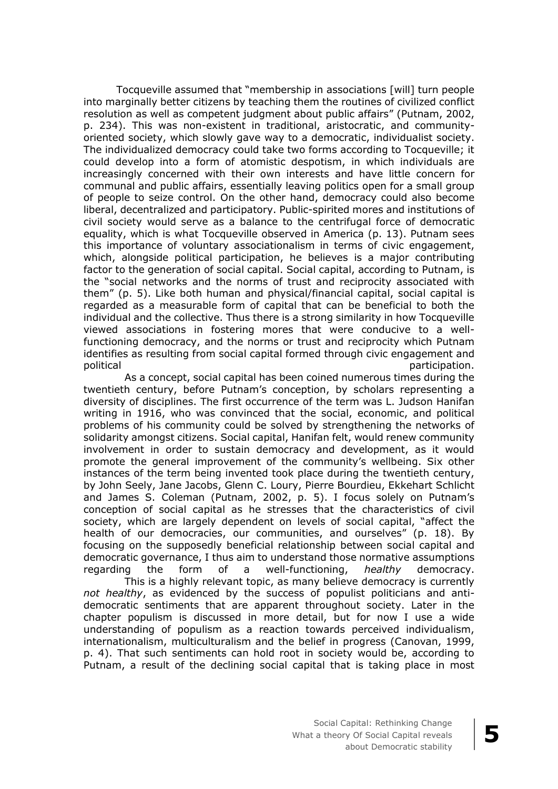Tocqueville assumed that "membership in associations [will] turn people into marginally better citizens by teaching them the routines of civilized conflict resolution as well as competent judgment about public affairs" (Putnam, 2002, p. 234). This was non-existent in traditional, aristocratic, and communityoriented society, which slowly gave way to a democratic, individualist society. The individualized democracy could take two forms according to Tocqueville; it could develop into a form of atomistic despotism, in which individuals are increasingly concerned with their own interests and have little concern for communal and public affairs, essentially leaving politics open for a small group of people to seize control. On the other hand, democracy could also become liberal, decentralized and participatory. Public-spirited mores and institutions of civil society would serve as a balance to the centrifugal force of democratic equality, which is what Tocqueville observed in America (p. 13). Putnam sees this importance of voluntary associationalism in terms of civic engagement, which, alongside political participation, he believes is a major contributing factor to the generation of social capital. Social capital, according to Putnam, is the "social networks and the norms of trust and reciprocity associated with them" (p. 5). Like both human and physical/financial capital, social capital is regarded as a measurable form of capital that can be beneficial to both the individual and the collective. Thus there is a strong similarity in how Tocqueville viewed associations in fostering mores that were conducive to a wellfunctioning democracy, and the norms or trust and reciprocity which Putnam identifies as resulting from social capital formed through civic engagement and<br>participation. participation.

As a concept, social capital has been coined numerous times during the twentieth century, before Putnam's conception, by scholars representing a diversity of disciplines. The first occurrence of the term was L. Judson Hanifan writing in 1916, who was convinced that the social, economic, and political problems of his community could be solved by strengthening the networks of solidarity amongst citizens. Social capital, Hanifan felt, would renew community involvement in order to sustain democracy and development, as it would promote the general improvement of the community's wellbeing. Six other instances of the term being invented took place during the twentieth century, by John Seely, Jane Jacobs, Glenn C. Loury, Pierre Bourdieu, Ekkehart Schlicht and James S. Coleman (Putnam, 2002, p. 5). I focus solely on Putnam's conception of social capital as he stresses that the characteristics of civil society, which are largely dependent on levels of social capital, "affect the health of our democracies, our communities, and ourselves" (p. 18). By focusing on the supposedly beneficial relationship between social capital and democratic governance, I thus aim to understand those normative assumptions regarding the form of a well-functioning, *healthy* democracy.

This is a highly relevant topic, as many believe democracy is currently *not healthy*, as evidenced by the success of populist politicians and antidemocratic sentiments that are apparent throughout society. Later in the chapter populism is discussed in more detail, but for now I use a wide understanding of populism as a reaction towards perceived individualism, internationalism, multiculturalism and the belief in progress (Canovan, 1999, p. 4). That such sentiments can hold root in society would be, according to Putnam, a result of the declining social capital that is taking place in most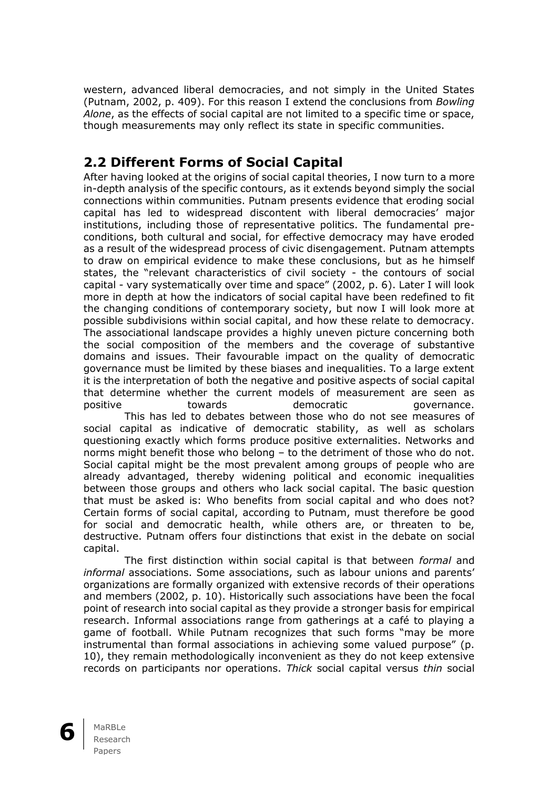western, advanced liberal democracies, and not simply in the United States (Putnam, 2002, p. 409). For this reason I extend the conclusions from *Bowling Alone*, as the effects of social capital are not limited to a specific time or space, though measurements may only reflect its state in specific communities.

### **2.2 Different Forms of Social Capital**

After having looked at the origins of social capital theories, I now turn to a more in-depth analysis of the specific contours, as it extends beyond simply the social connections within communities. Putnam presents evidence that eroding social capital has led to widespread discontent with liberal democracies' major institutions, including those of representative politics. The fundamental preconditions, both cultural and social, for effective democracy may have eroded as a result of the widespread process of civic disengagement. Putnam attempts to draw on empirical evidence to make these conclusions, but as he himself states, the "relevant characteristics of civil society - the contours of social capital - vary systematically over time and space" (2002, p. 6). Later I will look more in depth at how the indicators of social capital have been redefined to fit the changing conditions of contemporary society, but now I will look more at possible subdivisions within social capital, and how these relate to democracy. The associational landscape provides a highly uneven picture concerning both the social composition of the members and the coverage of substantive domains and issues. Their favourable impact on the quality of democratic governance must be limited by these biases and inequalities. To a large extent it is the interpretation of both the negative and positive aspects of social capital that determine whether the current models of measurement are seen as positive towards democratic governance.

This has led to debates between those who do not see measures of social capital as indicative of democratic stability, as well as scholars questioning exactly which forms produce positive externalities. Networks and norms might benefit those who belong – to the detriment of those who do not. Social capital might be the most prevalent among groups of people who are already advantaged, thereby widening political and economic inequalities between those groups and others who lack social capital. The basic question that must be asked is: Who benefits from social capital and who does not? Certain forms of social capital, according to Putnam, must therefore be good for social and democratic health, while others are, or threaten to be, destructive. Putnam offers four distinctions that exist in the debate on social capital.

The first distinction within social capital is that between *formal* and *informal* associations. Some associations, such as labour unions and parents' organizations are formally organized with extensive records of their operations and members (2002, p. 10). Historically such associations have been the focal point of research into social capital as they provide a stronger basis for empirical research. Informal associations range from gatherings at a café to playing a game of football. While Putnam recognizes that such forms "may be more instrumental than formal associations in achieving some valued purpose" (p. 10), they remain methodologically inconvenient as they do not keep extensive records on participants nor operations. *Thick* social capital versus *thin* social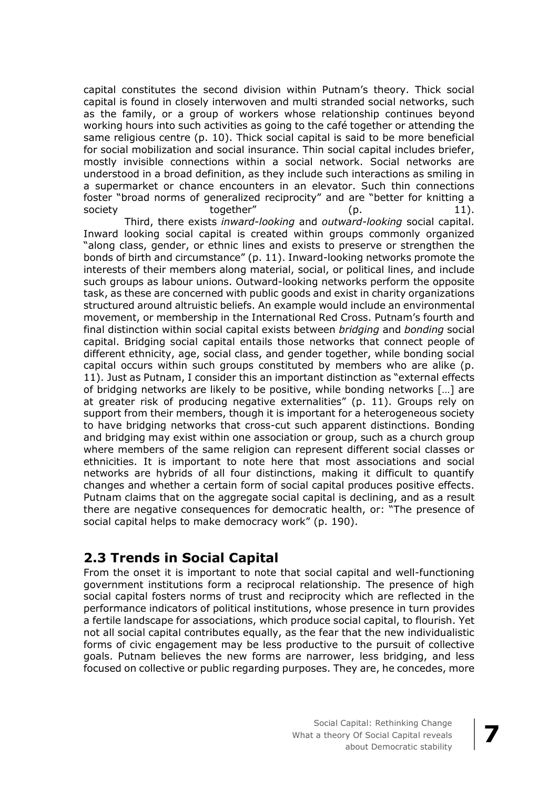capital constitutes the second division within Putnam's theory. Thick social capital is found in closely interwoven and multi stranded social networks, such as the family, or a group of workers whose relationship continues beyond working hours into such activities as going to the café together or attending the same religious centre (p. 10). Thick social capital is said to be more beneficial for social mobilization and social insurance. Thin social capital includes briefer, mostly invisible connections within a social network. Social networks are understood in a broad definition, as they include such interactions as smiling in a supermarket or chance encounters in an elevator. Such thin connections foster "broad norms of generalized reciprocity" and are "better for knitting a society together" (p. 11).

Third, there exists *inward-looking* and *outward-looking* social capital. Inward looking social capital is created within groups commonly organized "along class, gender, or ethnic lines and exists to preserve or strengthen the bonds of birth and circumstance" (p. 11). Inward-looking networks promote the interests of their members along material, social, or political lines, and include such groups as labour unions. Outward-looking networks perform the opposite task, as these are concerned with public goods and exist in charity organizations structured around altruistic beliefs. An example would include an environmental movement, or membership in the International Red Cross. Putnam's fourth and final distinction within social capital exists between *bridging* and *bonding* social capital. Bridging social capital entails those networks that connect people of different ethnicity, age, social class, and gender together, while bonding social capital occurs within such groups constituted by members who are alike (p. 11). Just as Putnam, I consider this an important distinction as "external effects of bridging networks are likely to be positive, while bonding networks […] are at greater risk of producing negative externalities" (p. 11). Groups rely on support from their members, though it is important for a heterogeneous society to have bridging networks that cross-cut such apparent distinctions. Bonding and bridging may exist within one association or group, such as a church group where members of the same religion can represent different social classes or ethnicities. It is important to note here that most associations and social networks are hybrids of all four distinctions, making it difficult to quantify changes and whether a certain form of social capital produces positive effects. Putnam claims that on the aggregate social capital is declining, and as a result there are negative consequences for democratic health, or: "The presence of social capital helps to make democracy work" (p. 190).

### **2.3 Trends in Social Capital**

From the onset it is important to note that social capital and well-functioning government institutions form a reciprocal relationship. The presence of high social capital fosters norms of trust and reciprocity which are reflected in the performance indicators of political institutions, whose presence in turn provides a fertile landscape for associations, which produce social capital, to flourish. Yet not all social capital contributes equally, as the fear that the new individualistic forms of civic engagement may be less productive to the pursuit of collective goals. Putnam believes the new forms are narrower, less bridging, and less focused on collective or public regarding purposes. They are, he concedes, more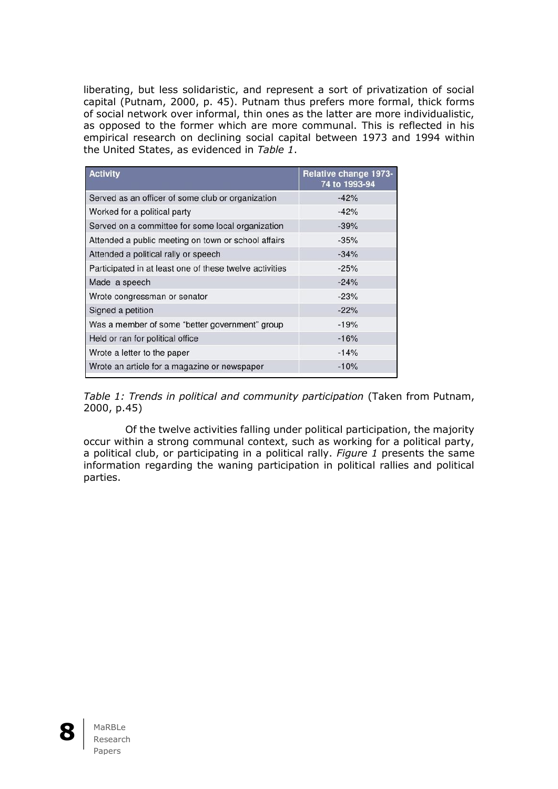liberating, but less solidaristic, and represent a sort of privatization of social capital (Putnam, 2000, p. 45). Putnam thus prefers more formal, thick forms of social network over informal, thin ones as the latter are more individualistic, as opposed to the former which are more communal. This is reflected in his empirical research on declining social capital between 1973 and 1994 within the United States, as evidenced in *Table 1*.

| <b>Activity</b>                                         | Relative change 1973-<br>74 to 1993-94 |  |  |
|---------------------------------------------------------|----------------------------------------|--|--|
| Served as an officer of some club or organization       | $-42%$                                 |  |  |
| Worked for a political party                            | $-42%$                                 |  |  |
| Served on a committee for some local organization       | $-39%$                                 |  |  |
| Attended a public meeting on town or school affairs     | $-35%$                                 |  |  |
| Attended a political rally or speech                    | $-34%$                                 |  |  |
| Participated in at least one of these twelve activities | $-25%$                                 |  |  |
| Made a speech                                           | $-24%$                                 |  |  |
| Wrote congressman or senator                            | $-23%$                                 |  |  |
| Signed a petition                                       | $-22%$                                 |  |  |
| Was a member of some "better government" group          | $-19%$                                 |  |  |
| Held or ran for political office                        | $-16%$                                 |  |  |
| Wrote a letter to the paper                             | $-14%$                                 |  |  |
| Wrote an article for a magazine or newspaper            | $-10%$                                 |  |  |

*Table 1: Trends in political and community participation* (Taken from Putnam, 2000, p.45)

Of the twelve activities falling under political participation, the majority occur within a strong communal context, such as working for a political party, a political club, or participating in a political rally. *Figure 1* presents the same information regarding the waning participation in political rallies and political parties.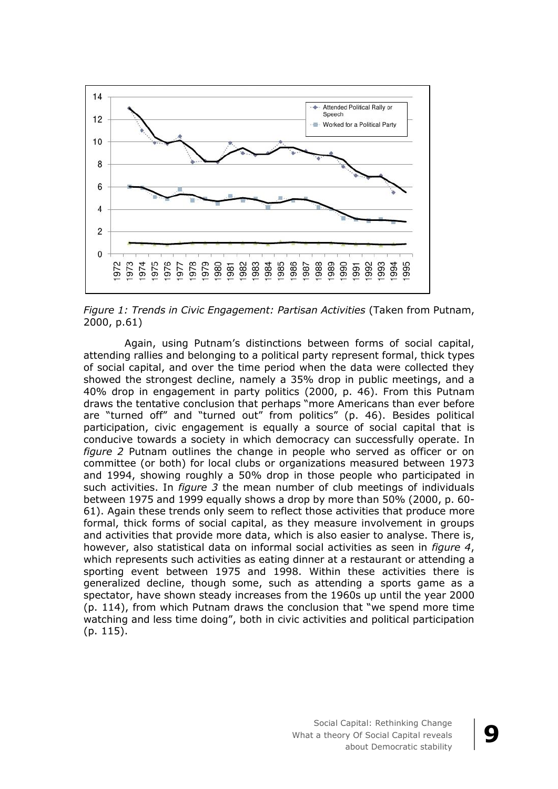

*Figure 1: Trends in Civic Engagement: Partisan Activities* (Taken from Putnam, 2000, p.61)

Again, using Putnam's distinctions between forms of social capital, attending rallies and belonging to a political party represent formal, thick types of social capital, and over the time period when the data were collected they showed the strongest decline, namely a 35% drop in public meetings, and a 40% drop in engagement in party politics (2000, p. 46). From this Putnam draws the tentative conclusion that perhaps "more Americans than ever before are "turned off" and "turned out" from politics" (p. 46). Besides political participation, civic engagement is equally a source of social capital that is conducive towards a society in which democracy can successfully operate. In *figure 2* Putnam outlines the change in people who served as officer or on committee (or both) for local clubs or organizations measured between 1973 and 1994, showing roughly a 50% drop in those people who participated in such activities. In *figure 3* the mean number of club meetings of individuals between 1975 and 1999 equally shows a drop by more than 50% (2000, p. 60- 61). Again these trends only seem to reflect those activities that produce more formal, thick forms of social capital, as they measure involvement in groups and activities that provide more data, which is also easier to analyse. There is, however, also statistical data on informal social activities as seen in *figure 4*, which represents such activities as eating dinner at a restaurant or attending a sporting event between 1975 and 1998. Within these activities there is generalized decline, though some, such as attending a sports game as a spectator, have shown steady increases from the 1960s up until the year 2000 (p. 114), from which Putnam draws the conclusion that "we spend more time watching and less time doing", both in civic activities and political participation (p. 115).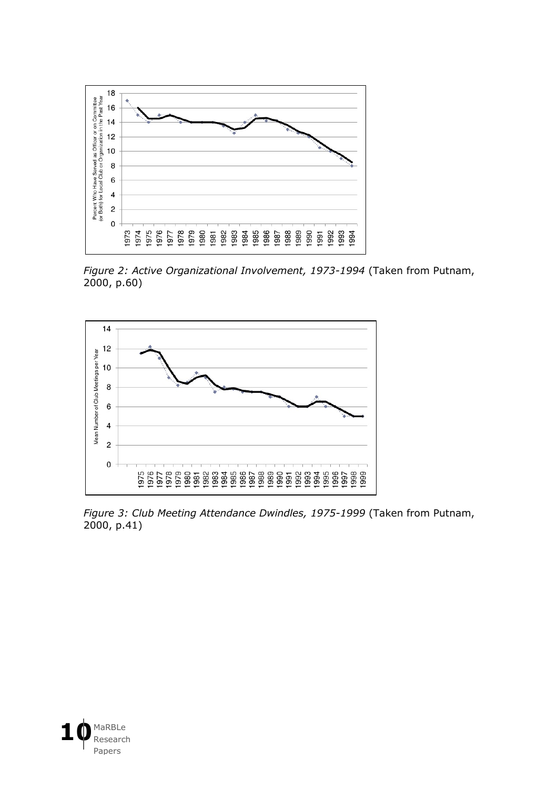

*Figure 2: Active Organizational Involvement, 1973-1994* (Taken from Putnam, 2000, p.60)



*Figure 3: Club Meeting Attendance Dwindles, 1975-1999* (Taken from Putnam, 2000, p.41)

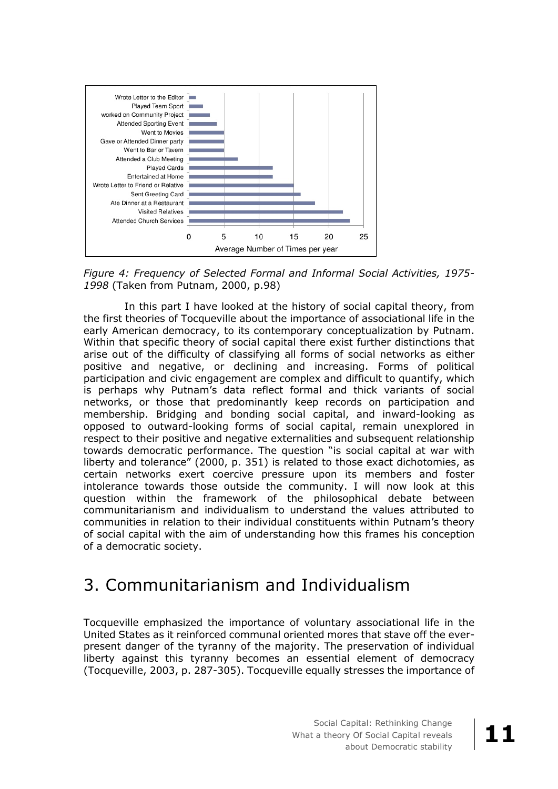

*Figure 4: Frequency of Selected Formal and Informal Social Activities, 1975- 1998* (Taken from Putnam, 2000, p.98)

In this part I have looked at the history of social capital theory, from the first theories of Tocqueville about the importance of associational life in the early American democracy, to its contemporary conceptualization by Putnam. Within that specific theory of social capital there exist further distinctions that arise out of the difficulty of classifying all forms of social networks as either positive and negative, or declining and increasing. Forms of political participation and civic engagement are complex and difficult to quantify, which is perhaps why Putnam's data reflect formal and thick variants of social networks, or those that predominantly keep records on participation and membership. Bridging and bonding social capital, and inward-looking as opposed to outward-looking forms of social capital, remain unexplored in respect to their positive and negative externalities and subsequent relationship towards democratic performance. The question "is social capital at war with liberty and tolerance" (2000, p. 351) is related to those exact dichotomies, as certain networks exert coercive pressure upon its members and foster intolerance towards those outside the community. I will now look at this question within the framework of the philosophical debate between communitarianism and individualism to understand the values attributed to communities in relation to their individual constituents within Putnam's theory of social capital with the aim of understanding how this frames his conception of a democratic society.

### 3. Communitarianism and Individualism

Tocqueville emphasized the importance of voluntary associational life in the United States as it reinforced communal oriented mores that stave off the everpresent danger of the tyranny of the majority. The preservation of individual liberty against this tyranny becomes an essential element of democracy (Tocqueville, 2003, p. 287-305). Tocqueville equally stresses the importance of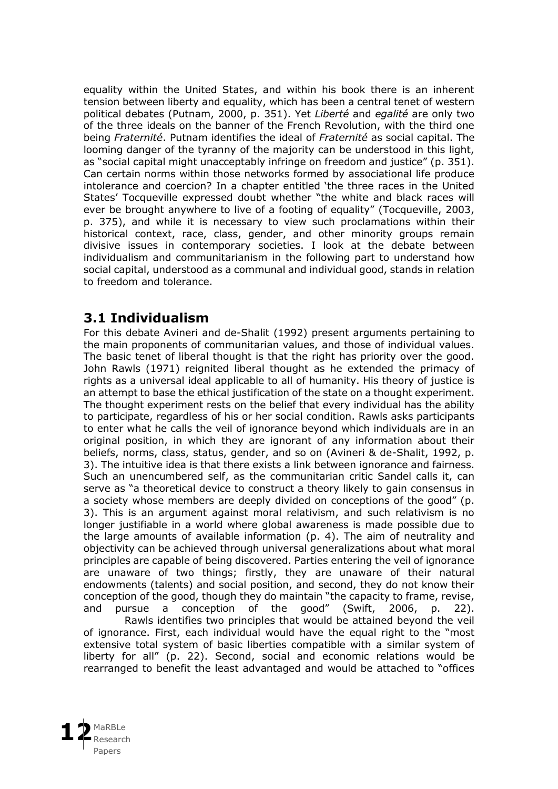equality within the United States, and within his book there is an inherent tension between liberty and equality, which has been a central tenet of western political debates (Putnam, 2000, p. 351). Yet *Liberté* and *egalité* are only two of the three ideals on the banner of the French Revolution, with the third one being *Fraternité*. Putnam identifies the ideal of *Fraternité* as social capital. The looming danger of the tyranny of the majority can be understood in this light, as "social capital might unacceptably infringe on freedom and justice" (p. 351). Can certain norms within those networks formed by associational life produce intolerance and coercion? In a chapter entitled 'the three races in the United States' Tocqueville expressed doubt whether "the white and black races will ever be brought anywhere to live of a footing of equality" (Tocqueville, 2003, p. 375), and while it is necessary to view such proclamations within their historical context, race, class, gender, and other minority groups remain divisive issues in contemporary societies. I look at the debate between individualism and communitarianism in the following part to understand how social capital, understood as a communal and individual good, stands in relation to freedom and tolerance.

### **3.1 Individualism**

For this debate Avineri and de-Shalit (1992) present arguments pertaining to the main proponents of communitarian values, and those of individual values. The basic tenet of liberal thought is that the right has priority over the good. John Rawls (1971) reignited liberal thought as he extended the primacy of rights as a universal ideal applicable to all of humanity. His theory of justice is an attempt to base the ethical justification of the state on a thought experiment. The thought experiment rests on the belief that every individual has the ability to participate, regardless of his or her social condition. Rawls asks participants to enter what he calls the veil of ignorance beyond which individuals are in an original position, in which they are ignorant of any information about their beliefs, norms, class, status, gender, and so on (Avineri & de-Shalit, 1992, p. 3). The intuitive idea is that there exists a link between ignorance and fairness. Such an unencumbered self, as the communitarian critic Sandel calls it, can serve as "a theoretical device to construct a theory likely to gain consensus in a society whose members are deeply divided on conceptions of the good" (p. 3). This is an argument against moral relativism, and such relativism is no longer justifiable in a world where global awareness is made possible due to the large amounts of available information (p. 4). The aim of neutrality and objectivity can be achieved through universal generalizations about what moral principles are capable of being discovered. Parties entering the veil of ignorance are unaware of two things; firstly, they are unaware of their natural endowments (talents) and social position, and second, they do not know their conception of the good, though they do maintain "the capacity to frame, revise, and pursue a conception of the good" (Swift, 2006, p. 22).

Rawls identifies two principles that would be attained beyond the veil of ignorance. First, each individual would have the equal right to the "most extensive total system of basic liberties compatible with a similar system of liberty for all" (p. 22). Second, social and economic relations would be rearranged to benefit the least advantaged and would be attached to "offices

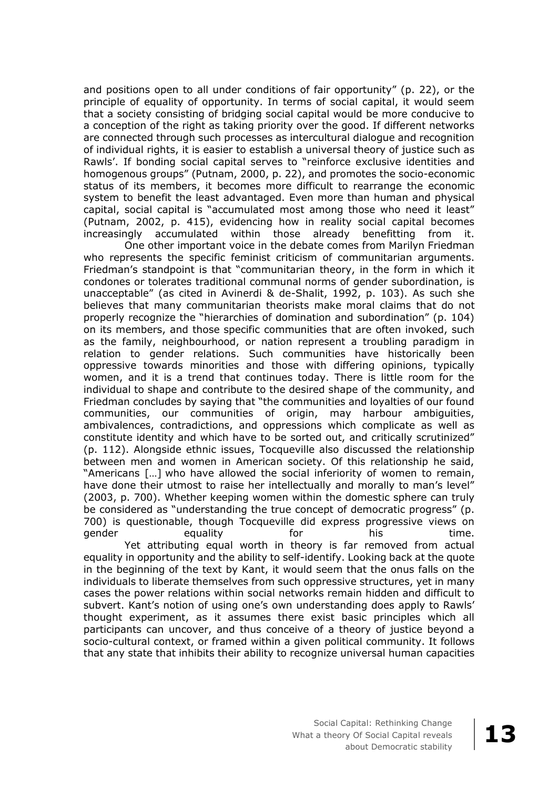and positions open to all under conditions of fair opportunity" (p. 22), or the principle of equality of opportunity. In terms of social capital, it would seem that a society consisting of bridging social capital would be more conducive to a conception of the right as taking priority over the good. If different networks are connected through such processes as intercultural dialogue and recognition of individual rights, it is easier to establish a universal theory of justice such as Rawls'. If bonding social capital serves to "reinforce exclusive identities and homogenous groups" (Putnam, 2000, p. 22), and promotes the socio-economic status of its members, it becomes more difficult to rearrange the economic system to benefit the least advantaged. Even more than human and physical capital, social capital is "accumulated most among those who need it least" (Putnam, 2002, p. 415), evidencing how in reality social capital becomes increasingly accumulated within those already benefitting from it.

One other important voice in the debate comes from Marilyn Friedman who represents the specific feminist criticism of communitarian arguments. Friedman's standpoint is that "communitarian theory, in the form in which it condones or tolerates traditional communal norms of gender subordination, is unacceptable" (as cited in Avinerdi & de-Shalit, 1992, p. 103). As such she believes that many communitarian theorists make moral claims that do not properly recognize the "hierarchies of domination and subordination" (p. 104) on its members, and those specific communities that are often invoked, such as the family, neighbourhood, or nation represent a troubling paradigm in relation to gender relations. Such communities have historically been oppressive towards minorities and those with differing opinions, typically women, and it is a trend that continues today. There is little room for the individual to shape and contribute to the desired shape of the community, and Friedman concludes by saying that "the communities and loyalties of our found communities, our communities of origin, may harbour ambiguities, ambivalences, contradictions, and oppressions which complicate as well as constitute identity and which have to be sorted out, and critically scrutinized" (p. 112). Alongside ethnic issues, Tocqueville also discussed the relationship between men and women in American society. Of this relationship he said, "Americans […] who have allowed the social inferiority of women to remain, have done their utmost to raise her intellectually and morally to man's level" (2003, p. 700). Whether keeping women within the domestic sphere can truly be considered as "understanding the true concept of democratic progress" (p. 700) is questionable, though Tocqueville did express progressive views on gender equality for his time. Yet attributing equal worth in theory is far removed from actual

equality in opportunity and the ability to self-identify. Looking back at the quote in the beginning of the text by Kant, it would seem that the onus falls on the individuals to liberate themselves from such oppressive structures, yet in many cases the power relations within social networks remain hidden and difficult to subvert. Kant's notion of using one's own understanding does apply to Rawls' thought experiment, as it assumes there exist basic principles which all participants can uncover, and thus conceive of a theory of justice beyond a socio-cultural context, or framed within a given political community. It follows that any state that inhibits their ability to recognize universal human capacities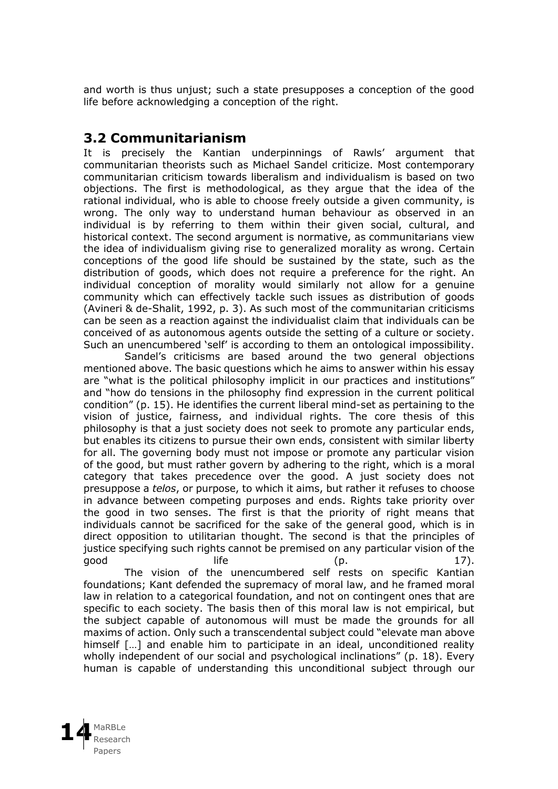and worth is thus unjust; such a state presupposes a conception of the good life before acknowledging a conception of the right.

#### **3.2 Communitarianism**

It is precisely the Kantian underpinnings of Rawls' argument that communitarian theorists such as Michael Sandel criticize. Most contemporary communitarian criticism towards liberalism and individualism is based on two objections. The first is methodological, as they argue that the idea of the rational individual, who is able to choose freely outside a given community, is wrong. The only way to understand human behaviour as observed in an individual is by referring to them within their given social, cultural, and historical context. The second argument is normative, as communitarians view the idea of individualism giving rise to generalized morality as wrong. Certain conceptions of the good life should be sustained by the state, such as the distribution of goods, which does not require a preference for the right. An individual conception of morality would similarly not allow for a genuine community which can effectively tackle such issues as distribution of goods (Avineri & de-Shalit, 1992, p. 3). As such most of the communitarian criticisms can be seen as a reaction against the individualist claim that individuals can be conceived of as autonomous agents outside the setting of a culture or society. Such an unencumbered 'self' is according to them an ontological impossibility.

Sandel's criticisms are based around the two general objections mentioned above. The basic questions which he aims to answer within his essay are "what is the political philosophy implicit in our practices and institutions" and "how do tensions in the philosophy find expression in the current political condition" (p. 15). He identifies the current liberal mind-set as pertaining to the vision of justice, fairness, and individual rights. The core thesis of this philosophy is that a just society does not seek to promote any particular ends, but enables its citizens to pursue their own ends, consistent with similar liberty for all. The governing body must not impose or promote any particular vision of the good, but must rather govern by adhering to the right, which is a moral category that takes precedence over the good. A just society does not presuppose a *telos*, or purpose, to which it aims, but rather it refuses to choose in advance between competing purposes and ends. Rights take priority over the good in two senses. The first is that the priority of right means that individuals cannot be sacrificed for the sake of the general good, which is in direct opposition to utilitarian thought. The second is that the principles of justice specifying such rights cannot be premised on any particular vision of the  $\qquad \qquad$  life  $\qquad \qquad$  (p.  $\qquad \qquad$  17).

The vision of the unencumbered self rests on specific Kantian foundations; Kant defended the supremacy of moral law, and he framed moral law in relation to a categorical foundation, and not on contingent ones that are specific to each society. The basis then of this moral law is not empirical, but the subject capable of autonomous will must be made the grounds for all maxims of action. Only such a transcendental subject could "elevate man above himself [...] and enable him to participate in an ideal, unconditioned reality wholly independent of our social and psychological inclinations" (p. 18). Every human is capable of understanding this unconditional subject through our

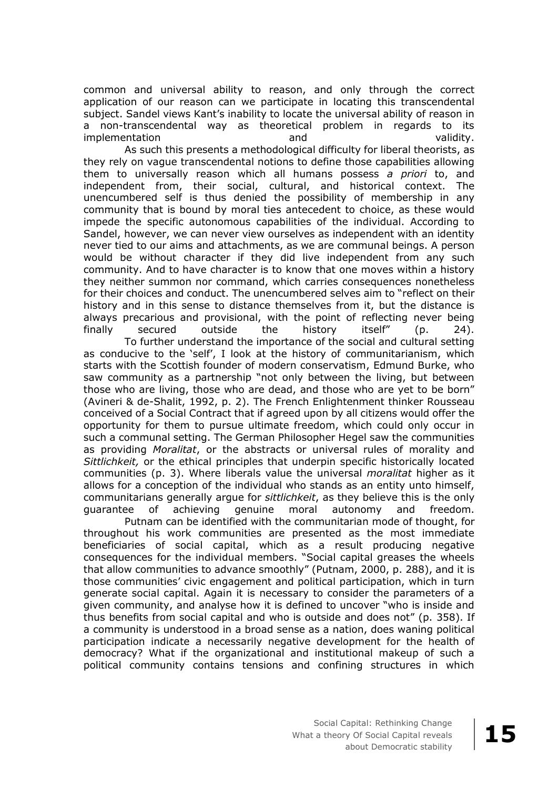common and universal ability to reason, and only through the correct application of our reason can we participate in locating this transcendental subject. Sandel views Kant's inability to locate the universal ability of reason in a non-transcendental way as theoretical problem in regards to its implementation and validity.

As such this presents a methodological difficulty for liberal theorists, as they rely on vague transcendental notions to define those capabilities allowing them to universally reason which all humans possess *a priori* to, and independent from, their social, cultural, and historical context. The unencumbered self is thus denied the possibility of membership in any community that is bound by moral ties antecedent to choice, as these would impede the specific autonomous capabilities of the individual. According to Sandel, however, we can never view ourselves as independent with an identity never tied to our aims and attachments, as we are communal beings. A person would be without character if they did live independent from any such community. And to have character is to know that one moves within a history they neither summon nor command, which carries consequences nonetheless for their choices and conduct. The unencumbered selves aim to "reflect on their history and in this sense to distance themselves from it, but the distance is always precarious and provisional, with the point of reflecting never being finally secured outside the history itself" (p. 24).

To further understand the importance of the social and cultural setting as conducive to the 'self', I look at the history of communitarianism, which starts with the Scottish founder of modern conservatism, Edmund Burke, who saw community as a partnership "not only between the living, but between those who are living, those who are dead, and those who are yet to be born" (Avineri & de-Shalit, 1992, p. 2). The French Enlightenment thinker Rousseau conceived of a Social Contract that if agreed upon by all citizens would offer the opportunity for them to pursue ultimate freedom, which could only occur in such a communal setting. The German Philosopher Hegel saw the communities as providing *Moralitat*, or the abstracts or universal rules of morality and *Sittlichkeit,* or the ethical principles that underpin specific historically located communities (p. 3). Where liberals value the universal *moralitat* higher as it allows for a conception of the individual who stands as an entity unto himself, communitarians generally argue for *sittlichkeit*, as they believe this is the only guarantee of achieving genuine moral autonomy and freedom.

Putnam can be identified with the communitarian mode of thought, for throughout his work communities are presented as the most immediate beneficiaries of social capital, which as a result producing negative consequences for the individual members. "Social capital greases the wheels that allow communities to advance smoothly" (Putnam, 2000, p. 288), and it is those communities' civic engagement and political participation, which in turn generate social capital. Again it is necessary to consider the parameters of a given community, and analyse how it is defined to uncover "who is inside and thus benefits from social capital and who is outside and does not" (p. 358). If a community is understood in a broad sense as a nation, does waning political participation indicate a necessarily negative development for the health of democracy? What if the organizational and institutional makeup of such a political community contains tensions and confining structures in which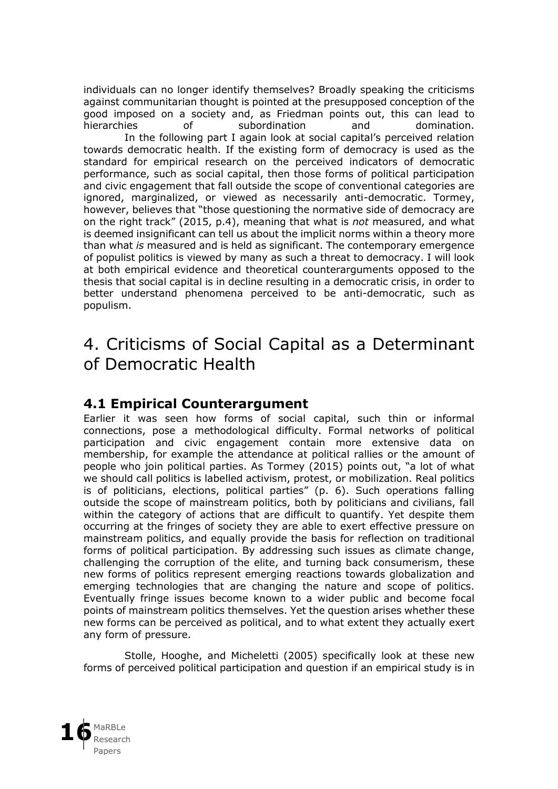individuals can no longer identify themselves? Broadly speaking the criticisms against communitarian thought is pointed at the presupposed conception of the good imposed on a society and, as Friedman points out, this can lead to hierarchies of subordination and domination. In the following part I again look at social capital's perceived relation towards democratic health. If the existing form of democracy is used as the standard for empirical research on the perceived indicators of democratic performance, such as social capital, then those forms of political participation and civic engagement that fall outside the scope of conventional categories are ignored, marginalized, or viewed as necessarily anti-democratic. Tormey, however, believes that "those questioning the normative side of democracy are on the right track" (2015, p.4), meaning that what is *not* measured, and what is deemed insignificant can tell us about the implicit norms within a theory more than what *is* measured and is held as significant. The contemporary emergence of populist politics is viewed by many as such a threat to democracy. I will look at both empirical evidence and theoretical counterarguments opposed to the thesis that social capital is in decline resulting in a democratic crisis, in order to better understand phenomena perceived to be anti-democratic, such as populism.

### 4. Criticisms of Social Capital as a Determinant of Democratic Health

#### **4.1 Empirical Counterargument**

Earlier it was seen how forms of social capital, such thin or informal connections, pose a methodological difficulty. Formal networks of political participation and civic engagement contain more extensive data on membership, for example the attendance at political rallies or the amount of people who join political parties. As Tormey (2015) points out, "a lot of what we should call politics is labelled activism, protest, or mobilization. Real politics is of politicians, elections, political parties" (p. 6). Such operations falling outside the scope of mainstream politics, both by politicians and civilians, fall within the category of actions that are difficult to quantify. Yet despite them occurring at the fringes of society they are able to exert effective pressure on mainstream politics, and equally provide the basis for reflection on traditional forms of political participation. By addressing such issues as climate change, challenging the corruption of the elite, and turning back consumerism, these new forms of politics represent emerging reactions towards globalization and emerging technologies that are changing the nature and scope of politics. Eventually fringe issues become known to a wider public and become focal points of mainstream politics themselves. Yet the question arises whether these new forms can be perceived as political, and to what extent they actually exert any form of pressure.

Stolle, Hooghe, and Micheletti (2005) specifically look at these new forms of perceived political participation and question if an empirical study is in

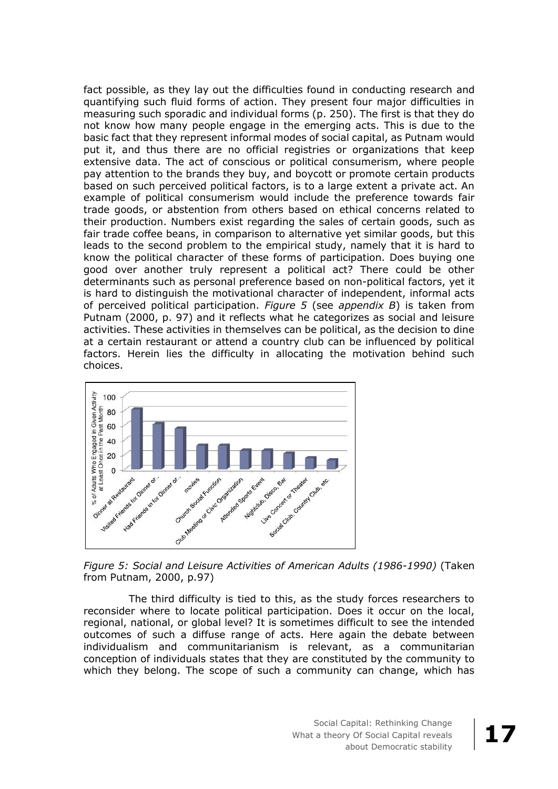fact possible, as they lay out the difficulties found in conducting research and quantifying such fluid forms of action. They present four major difficulties in measuring such sporadic and individual forms (p. 250). The first is that they do not know how many people engage in the emerging acts. This is due to the basic fact that they represent informal modes of social capital, as Putnam would put it, and thus there are no official registries or organizations that keep extensive data. The act of conscious or political consumerism, where people pay attention to the brands they buy, and boycott or promote certain products based on such perceived political factors, is to a large extent a private act. An example of political consumerism would include the preference towards fair trade goods, or abstention from others based on ethical concerns related to their production. Numbers exist regarding the sales of certain goods, such as fair trade coffee beans, in comparison to alternative yet similar goods, but this leads to the second problem to the empirical study, namely that it is hard to know the political character of these forms of participation. Does buying one good over another truly represent a political act? There could be other determinants such as personal preference based on non-political factors, yet it is hard to distinguish the motivational character of independent, informal acts of perceived political participation. *Figure 5* (see *appendix B*) is taken from Putnam (2000, p. 97) and it reflects what he categorizes as social and leisure activities. These activities in themselves can be political, as the decision to dine at a certain restaurant or attend a country club can be influenced by political factors. Herein lies the difficulty in allocating the motivation behind such choices.



*Figure 5: Social and Leisure Activities of American Adults (1986-1990)* (Taken from Putnam, 2000, p.97)

The third difficulty is tied to this, as the study forces researchers to reconsider where to locate political participation. Does it occur on the local, regional, national, or global level? It is sometimes difficult to see the intended outcomes of such a diffuse range of acts. Here again the debate between individualism and communitarianism is relevant, as a communitarian conception of individuals states that they are constituted by the community to which they belong. The scope of such a community can change, which has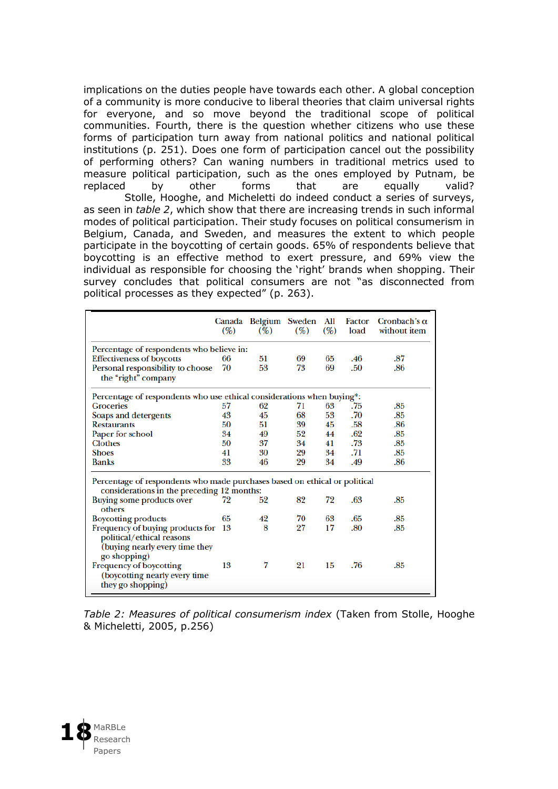implications on the duties people have towards each other. A global conception of a community is more conducive to liberal theories that claim universal rights for everyone, and so move beyond the traditional scope of political communities. Fourth, there is the question whether citizens who use these forms of participation turn away from national politics and national political institutions (p. 251). Does one form of participation cancel out the possibility of performing others? Can waning numbers in traditional metrics used to measure political participation, such as the ones employed by Putnam, be replaced by other forms that are equally valid? Stolle, Hooghe, and Micheletti do indeed conduct a series of surveys, as seen in *table 2*, which show that there are increasing trends in such informal modes of political participation. Their study focuses on political consumerism in Belgium, Canada, and Sweden, and measures the extent to which people participate in the boycotting of certain goods. 65% of respondents believe that boycotting is an effective method to exert pressure, and 69% view the individual as responsible for choosing the 'right' brands when shopping. Their survey concludes that political consumers are not "as disconnected from political processes as they expected" (p. 263).

|                                                                                                                          | (%) | Canada Belgium Sweden<br>(%) | (%) | All<br>(%) | Factor<br>load | Cronbach's $\alpha$<br>without item |  |  |
|--------------------------------------------------------------------------------------------------------------------------|-----|------------------------------|-----|------------|----------------|-------------------------------------|--|--|
| Percentage of respondents who believe in:                                                                                |     |                              |     |            |                |                                     |  |  |
| <b>Effectiveness of boycotts</b>                                                                                         | 66  | 51                           | 69  | 65         | .46            | .87                                 |  |  |
| Personal responsibility to choose                                                                                        | 70  | 53                           | 73  | 69         | .50            | .86                                 |  |  |
| the "right" company                                                                                                      |     |                              |     |            |                |                                     |  |  |
| Percentage of respondents who use ethical considerations when buying*:                                                   |     |                              |     |            |                |                                     |  |  |
| <b>Groceries</b>                                                                                                         | 57  | 62                           | 71  | 63         | .75            | .85                                 |  |  |
| Soaps and detergents                                                                                                     | 43  | 45                           | 68  | 53         | .70            | .85                                 |  |  |
| <b>Restaurants</b>                                                                                                       | 50  | 51                           | 39  | 45         | .58            | .86                                 |  |  |
| Paper for school                                                                                                         | 34  | 49                           | 52  | 44         | .62            | .85                                 |  |  |
| <b>Clothes</b>                                                                                                           | 50  | 37                           | 34  | 41         | .73            | .85                                 |  |  |
| <b>Shoes</b>                                                                                                             | 41  | 30                           | 29  | 34         | .71            | .85                                 |  |  |
| <b>Banks</b>                                                                                                             | 33  | 46                           | 29  | 34         | .49            | .86                                 |  |  |
| Percentage of respondents who made purchases based on ethical or political<br>considerations in the preceding 12 months: |     |                              |     |            |                |                                     |  |  |
| Buying some products over<br>others                                                                                      | 72  | 52                           | 82  | 72         | .63            | .85                                 |  |  |
| <b>Boycotting products</b>                                                                                               | 65  | 42                           | 70  | 63         | .65            | .85                                 |  |  |
| Frequency of buying products for<br>political/ethical reasons                                                            | -13 | 8                            | 27  | 17         | .80            | .85                                 |  |  |
| (buying nearly every time they<br>go shopping)                                                                           |     |                              |     |            |                |                                     |  |  |
| <b>Frequency of boycotting</b>                                                                                           | 13  | 7                            | 21  | 15         | .76            | .85                                 |  |  |
| (boycotting nearly every time                                                                                            |     |                              |     |            |                |                                     |  |  |
| they go shopping)                                                                                                        |     |                              |     |            |                |                                     |  |  |

*Table 2: Measures of political consumerism index* (Taken from Stolle, Hooghe & Micheletti, 2005, p.256)

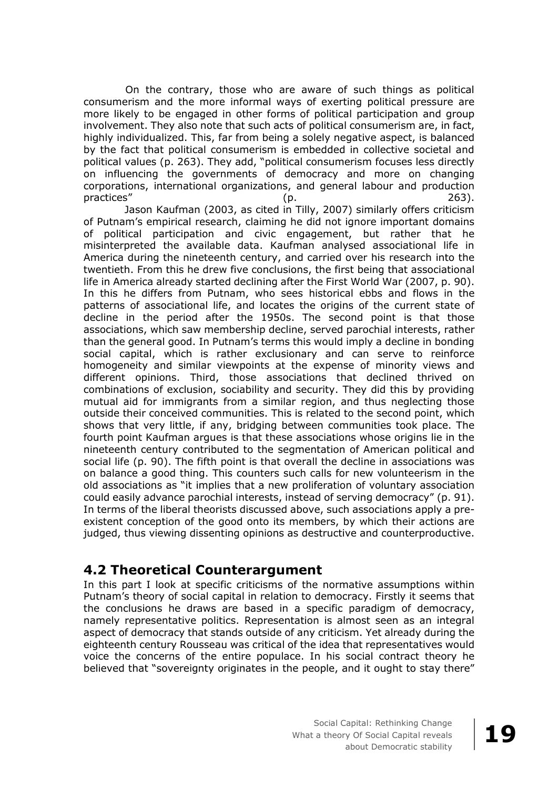On the contrary, those who are aware of such things as political consumerism and the more informal ways of exerting political pressure are more likely to be engaged in other forms of political participation and group involvement. They also note that such acts of political consumerism are, in fact, highly individualized. This, far from being a solely negative aspect, is balanced by the fact that political consumerism is embedded in collective societal and political values (p. 263). They add, "political consumerism focuses less directly on influencing the governments of democracy and more on changing corporations, international organizations, and general labour and production practices" (p. 263).

Jason Kaufman (2003, as cited in Tilly, 2007) similarly offers criticism of Putnam's empirical research, claiming he did not ignore important domains of political participation and civic engagement, but rather that he misinterpreted the available data. Kaufman analysed associational life in America during the nineteenth century, and carried over his research into the twentieth. From this he drew five conclusions, the first being that associational life in America already started declining after the First World War (2007, p. 90). In this he differs from Putnam, who sees historical ebbs and flows in the patterns of associational life, and locates the origins of the current state of decline in the period after the 1950s. The second point is that those associations, which saw membership decline, served parochial interests, rather than the general good. In Putnam's terms this would imply a decline in bonding social capital, which is rather exclusionary and can serve to reinforce homogeneity and similar viewpoints at the expense of minority views and different opinions. Third, those associations that declined thrived on combinations of exclusion, sociability and security. They did this by providing mutual aid for immigrants from a similar region, and thus neglecting those outside their conceived communities. This is related to the second point, which shows that very little, if any, bridging between communities took place. The fourth point Kaufman argues is that these associations whose origins lie in the nineteenth century contributed to the segmentation of American political and social life (p. 90). The fifth point is that overall the decline in associations was on balance a good thing. This counters such calls for new volunteerism in the old associations as "it implies that a new proliferation of voluntary association could easily advance parochial interests, instead of serving democracy" (p. 91). In terms of the liberal theorists discussed above, such associations apply a preexistent conception of the good onto its members, by which their actions are judged, thus viewing dissenting opinions as destructive and counterproductive.

### **4.2 Theoretical Counterargument**

In this part I look at specific criticisms of the normative assumptions within Putnam's theory of social capital in relation to democracy. Firstly it seems that the conclusions he draws are based in a specific paradigm of democracy, namely representative politics. Representation is almost seen as an integral aspect of democracy that stands outside of any criticism. Yet already during the eighteenth century Rousseau was critical of the idea that representatives would voice the concerns of the entire populace. In his social contract theory he believed that "sovereignty originates in the people, and it ought to stay there"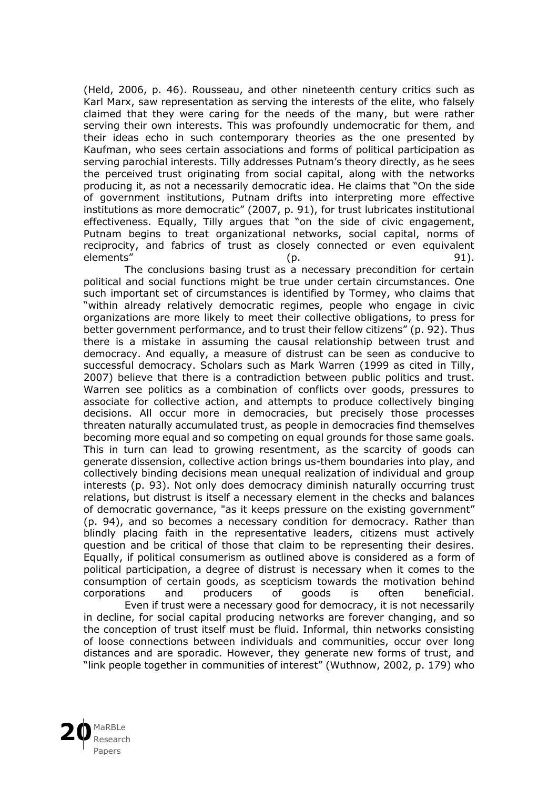(Held, 2006, p. 46). Rousseau, and other nineteenth century critics such as Karl Marx, saw representation as serving the interests of the elite, who falsely claimed that they were caring for the needs of the many, but were rather serving their own interests. This was profoundly undemocratic for them, and their ideas echo in such contemporary theories as the one presented by Kaufman, who sees certain associations and forms of political participation as serving parochial interests. Tilly addresses Putnam's theory directly, as he sees the perceived trust originating from social capital, along with the networks producing it, as not a necessarily democratic idea. He claims that "On the side of government institutions, Putnam drifts into interpreting more effective institutions as more democratic" (2007, p. 91), for trust lubricates institutional effectiveness. Equally, Tilly argues that "on the side of civic engagement, Putnam begins to treat organizational networks, social capital, norms of reciprocity, and fabrics of trust as closely connected or even equivalent<br>elements" (p. 91). elements" (p. 91).

The conclusions basing trust as a necessary precondition for certain political and social functions might be true under certain circumstances. One such important set of circumstances is identified by Tormey, who claims that "within already relatively democratic regimes, people who engage in civic organizations are more likely to meet their collective obligations, to press for better government performance, and to trust their fellow citizens" (p. 92). Thus there is a mistake in assuming the causal relationship between trust and democracy. And equally, a measure of distrust can be seen as conducive to successful democracy. Scholars such as Mark Warren (1999 as cited in Tilly, 2007) believe that there is a contradiction between public politics and trust. Warren see politics as a combination of conflicts over goods, pressures to associate for collective action, and attempts to produce collectively binging decisions. All occur more in democracies, but precisely those processes threaten naturally accumulated trust, as people in democracies find themselves becoming more equal and so competing on equal grounds for those same goals. This in turn can lead to growing resentment, as the scarcity of goods can generate dissension, collective action brings us-them boundaries into play, and collectively binding decisions mean unequal realization of individual and group interests (p. 93). Not only does democracy diminish naturally occurring trust relations, but distrust is itself a necessary element in the checks and balances of democratic governance, "as it keeps pressure on the existing government" (p. 94), and so becomes a necessary condition for democracy. Rather than blindly placing faith in the representative leaders, citizens must actively question and be critical of those that claim to be representing their desires. Equally, if political consumerism as outlined above is considered as a form of political participation, a degree of distrust is necessary when it comes to the consumption of certain goods, as scepticism towards the motivation behind corporations and producers of goods is often beneficial.

Even if trust were a necessary good for democracy, it is not necessarily in decline, for social capital producing networks are forever changing, and so the conception of trust itself must be fluid. Informal, thin networks consisting of loose connections between individuals and communities, occur over long distances and are sporadic. However, they generate new forms of trust, and "link people together in communities of interest" (Wuthnow, 2002, p. 179) who

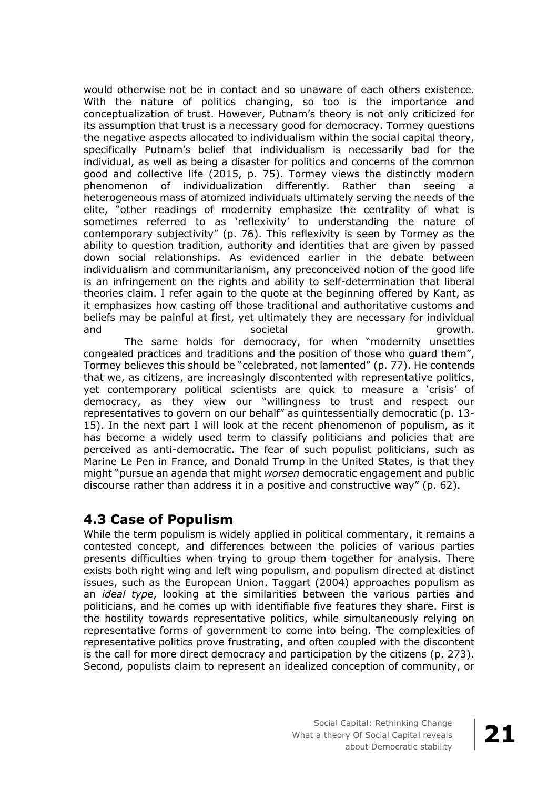would otherwise not be in contact and so unaware of each others existence. With the nature of politics changing, so too is the importance and conceptualization of trust. However, Putnam's theory is not only criticized for its assumption that trust is a necessary good for democracy. Tormey questions the negative aspects allocated to individualism within the social capital theory, specifically Putnam's belief that individualism is necessarily bad for the individual, as well as being a disaster for politics and concerns of the common good and collective life (2015, p. 75). Tormey views the distinctly modern phenomenon of individualization differently. Rather than seeing a heterogeneous mass of atomized individuals ultimately serving the needs of the elite, "other readings of modernity emphasize the centrality of what is sometimes referred to as 'reflexivity' to understanding the nature of contemporary subjectivity" (p. 76). This reflexivity is seen by Tormey as the ability to question tradition, authority and identities that are given by passed down social relationships. As evidenced earlier in the debate between individualism and communitarianism, any preconceived notion of the good life is an infringement on the rights and ability to self-determination that liberal theories claim. I refer again to the quote at the beginning offered by Kant, as it emphasizes how casting off those traditional and authoritative customs and beliefs may be painful at first, yet ultimately they are necessary for individual and societal growth.

The same holds for democracy, for when "modernity unsettles congealed practices and traditions and the position of those who guard them", Tormey believes this should be "celebrated, not lamented" (p. 77). He contends that we, as citizens, are increasingly discontented with representative politics, yet contemporary political scientists are quick to measure a 'crisis' of democracy, as they view our "willingness to trust and respect our representatives to govern on our behalf" as quintessentially democratic (p. 13- 15). In the next part I will look at the recent phenomenon of populism, as it has become a widely used term to classify politicians and policies that are perceived as anti-democratic. The fear of such populist politicians, such as Marine Le Pen in France, and Donald Trump in the United States, is that they might "pursue an agenda that might *worsen* democratic engagement and public discourse rather than address it in a positive and constructive way" (p. 62).

### **4.3 Case of Populism**

While the term populism is widely applied in political commentary, it remains a contested concept, and differences between the policies of various parties presents difficulties when trying to group them together for analysis. There exists both right wing and left wing populism, and populism directed at distinct issues, such as the European Union. Taggart (2004) approaches populism as an *ideal type*, looking at the similarities between the various parties and politicians, and he comes up with identifiable five features they share. First is the hostility towards representative politics, while simultaneously relying on representative forms of government to come into being. The complexities of representative politics prove frustrating, and often coupled with the discontent is the call for more direct democracy and participation by the citizens (p. 273). Second, populists claim to represent an idealized conception of community, or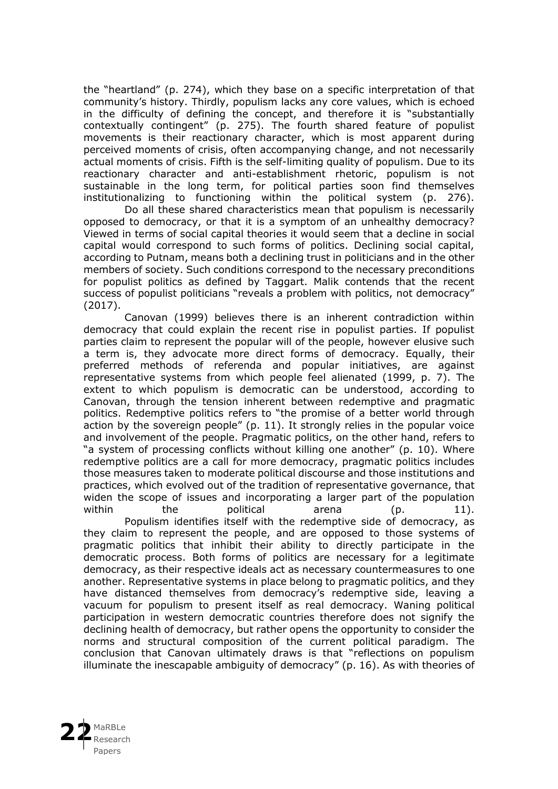the "heartland" (p. 274), which they base on a specific interpretation of that community's history. Thirdly, populism lacks any core values, which is echoed in the difficulty of defining the concept, and therefore it is "substantially contextually contingent" (p. 275). The fourth shared feature of populist movements is their reactionary character, which is most apparent during perceived moments of crisis, often accompanying change, and not necessarily actual moments of crisis. Fifth is the self-limiting quality of populism. Due to its reactionary character and anti-establishment rhetoric, populism is not sustainable in the long term, for political parties soon find themselves institutionalizing to functioning within the political system (p. 276).

Do all these shared characteristics mean that populism is necessarily opposed to democracy, or that it is a symptom of an unhealthy democracy? Viewed in terms of social capital theories it would seem that a decline in social capital would correspond to such forms of politics. Declining social capital, according to Putnam, means both a declining trust in politicians and in the other members of society. Such conditions correspond to the necessary preconditions for populist politics as defined by Taggart. Malik contends that the recent success of populist politicians "reveals a problem with politics, not democracy" (2017).

Canovan (1999) believes there is an inherent contradiction within democracy that could explain the recent rise in populist parties. If populist parties claim to represent the popular will of the people, however elusive such a term is, they advocate more direct forms of democracy. Equally, their preferred methods of referenda and popular initiatives, are against representative systems from which people feel alienated (1999, p. 7). The extent to which populism is democratic can be understood, according to Canovan, through the tension inherent between redemptive and pragmatic politics. Redemptive politics refers to "the promise of a better world through action by the sovereign people" (p. 11). It strongly relies in the popular voice and involvement of the people. Pragmatic politics, on the other hand, refers to "a system of processing conflicts without killing one another" (p. 10). Where redemptive politics are a call for more democracy, pragmatic politics includes those measures taken to moderate political discourse and those institutions and practices, which evolved out of the tradition of representative governance, that widen the scope of issues and incorporating a larger part of the population within the political arena (p. 11).

Populism identifies itself with the redemptive side of democracy, as they claim to represent the people, and are opposed to those systems of pragmatic politics that inhibit their ability to directly participate in the democratic process. Both forms of politics are necessary for a legitimate democracy, as their respective ideals act as necessary countermeasures to one another. Representative systems in place belong to pragmatic politics, and they have distanced themselves from democracy's redemptive side, leaving a vacuum for populism to present itself as real democracy. Waning political participation in western democratic countries therefore does not signify the declining health of democracy, but rather opens the opportunity to consider the norms and structural composition of the current political paradigm. The conclusion that Canovan ultimately draws is that "reflections on populism illuminate the inescapable ambiguity of democracy" (p. 16). As with theories of